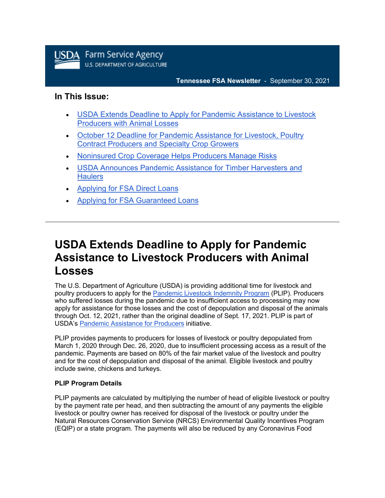

#### **Tennessee FSA Newsletter** - September 30, 2021

### **In This Issue:**

- [USDA Extends Deadline to Apply for Pandemic Assistance to Livestock](https://admin.govdelivery.com/accounts/USDAFARMERS/bulletins?sortdesc=bulletinsort-sent_at&state=sent#link_7)  [Producers with Animal Losses](https://admin.govdelivery.com/accounts/USDAFARMERS/bulletins?sortdesc=bulletinsort-sent_at&state=sent#link_7)
- [October 12 Deadline for Pandemic Assistance for Livestock, Poultry](https://admin.govdelivery.com/accounts/USDAFARMERS/bulletins?sortdesc=bulletinsort-sent_at&state=sent#link_6)  [Contract Producers and Specialty Crop Growers](https://admin.govdelivery.com/accounts/USDAFARMERS/bulletins?sortdesc=bulletinsort-sent_at&state=sent#link_6)
- [Noninsured Crop Coverage Helps Producers Manage Risks](https://admin.govdelivery.com/accounts/USDAFARMERS/bulletins?sortdesc=bulletinsort-sent_at&state=sent#link_4)
- [USDA Announces Pandemic Assistance for Timber Harvesters and](https://admin.govdelivery.com/accounts/USDAFARMERS/bulletins?sortdesc=bulletinsort-sent_at&state=sent#link_1)  **[Haulers](https://admin.govdelivery.com/accounts/USDAFARMERS/bulletins?sortdesc=bulletinsort-sent_at&state=sent#link_1)**
- [Applying for FSA Direct Loans](https://admin.govdelivery.com/accounts/USDAFARMERS/bulletins?sortdesc=bulletinsort-sent_at&state=sent#link_2)
- [Applying for FSA Guaranteed Loans](https://admin.govdelivery.com/accounts/USDAFARMERS/bulletins?sortdesc=bulletinsort-sent_at&state=sent#link_5)

# **USDA Extends Deadline to Apply for Pandemic Assistance to Livestock Producers with Animal Losses**

The U.S. Department of Agriculture (USDA) is providing additional time for livestock and poultry producers to apply for the [Pandemic Livestock Indemnity Program](https://www.farmers.gov/coronavirus/pandemic-assistance/plip?utm_medium=email&utm_source=govdelivery) (PLIP). Producers who suffered losses during the pandemic due to insufficient access to processing may now apply for assistance for those losses and the cost of depopulation and disposal of the animals through Oct. 12, 2021, rather than the original deadline of Sept. 17, 2021. PLIP is part of USDA's [Pandemic Assistance for Producers](http://www.farmers.gov/pandemic-assistance?utm_medium=email&utm_source=govdelivery) initiative.

PLIP provides payments to producers for losses of livestock or poultry depopulated from March 1, 2020 through Dec. 26, 2020, due to insufficient processing access as a result of the pandemic. Payments are based on 80% of the fair market value of the livestock and poultry and for the cost of depopulation and disposal of the animal. Eligible livestock and poultry include swine, chickens and turkeys.

### **PLIP Program Details**

PLIP payments are calculated by multiplying the number of head of eligible livestock or poultry by the payment rate per head, and then subtracting the amount of any payments the eligible livestock or poultry owner has received for disposal of the livestock or poultry under the Natural Resources Conservation Service (NRCS) Environmental Quality Incentives Program (EQIP) or a state program. The payments will also be reduced by any Coronavirus Food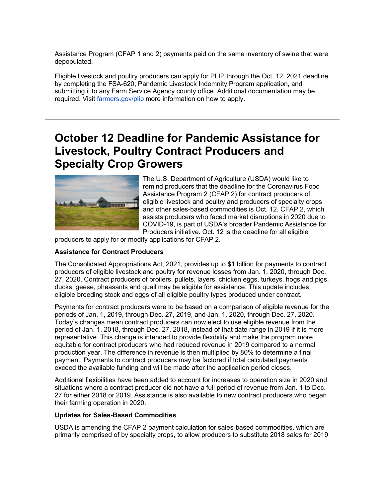Assistance Program (CFAP 1 and 2) payments paid on the same inventory of swine that were depopulated.

Eligible livestock and poultry producers can apply for PLIP through the Oct. 12, 2021 deadline by completing the FSA-620, Pandemic Livestock Indemnity Program application, and submitting it to any Farm Service Agency county office. Additional documentation may be required. Visit [farmers.gov/plip](http://www.farmers.gov/plip?utm_medium=email&utm_source=govdelivery) more information on how to apply.

# **October 12 Deadline for Pandemic Assistance for Livestock, Poultry Contract Producers and Specialty Crop Growers**



The U.S. Department of Agriculture (USDA) would like to remind producers that the deadline for the Coronavirus Food Assistance Program 2 (CFAP 2) for contract producers of eligible livestock and poultry and producers of specialty crops and other sales-based commodities is Oct. 12. CFAP 2, which assists producers who faced market disruptions in 2020 due to COVID-19, is part of USDA's broader Pandemic Assistance for Producers initiative. Oct. 12 is the deadline for all eligible

producers to apply for or modify applications for CFAP 2.

#### **Assistance for Contract Producers**

The Consolidated Appropriations Act, 2021, provides up to \$1 billion for payments to contract producers of eligible livestock and poultry for revenue losses from Jan. 1, 2020, through Dec. 27, 2020. Contract producers of broilers, pullets, layers, chicken eggs, turkeys, hogs and pigs, ducks, geese, pheasants and quail may be eligible for assistance. This update includes eligible breeding stock and eggs of all eligible poultry types produced under contract.

Payments for contract producers were to be based on a comparison of eligible revenue for the periods of Jan. 1, 2019, through Dec. 27, 2019, and Jan. 1, 2020, through Dec. 27, 2020. Today's changes mean contract producers can now elect to use eligible revenue from the period of Jan. 1, 2018, through Dec. 27, 2018, instead of that date range in 2019 if it is more representative. This change is intended to provide flexibility and make the program more equitable for contract producers who had reduced revenue in 2019 compared to a normal production year. The difference in revenue is then multiplied by 80% to determine a final payment. Payments to contract producers may be factored if total calculated payments exceed the available funding and will be made after the application period closes.

Additional flexibilities have been added to account for increases to operation size in 2020 and situations where a contract producer did not have a full period of revenue from Jan. 1 to Dec. 27 for either 2018 or 2019. Assistance is also available to new contract producers who began their farming operation in 2020.

#### **Updates for Sales-Based Commodities**

USDA is amending the CFAP 2 payment calculation for sales-based commodities, which are primarily comprised of by specialty crops, to allow producers to substitute 2018 sales for 2019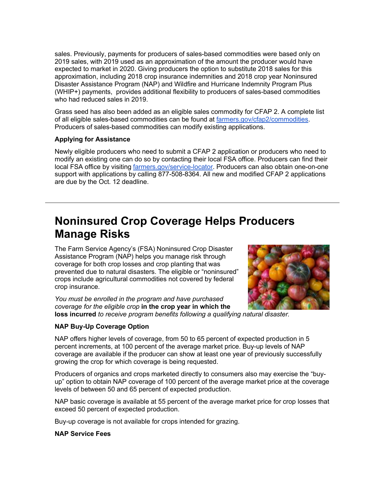sales. Previously, payments for producers of sales-based commodities were based only on 2019 sales, with 2019 used as an approximation of the amount the producer would have expected to market in 2020. Giving producers the option to substitute 2018 sales for this approximation, including 2018 crop insurance indemnities and 2018 crop year Noninsured Disaster Assistance Program (NAP) and Wildfire and Hurricane Indemnity Program Plus (WHIP+) payments, provides additional flexibility to producers of sales-based commodities who had reduced sales in 2019.

Grass seed has also been added as an eligible sales commodity for CFAP 2. A complete list of all eligible sales-based commodities can be found at [farmers.gov/cfap2/commodities.](http://www.farmers.gov/cfap2/commodities?utm_medium=email&utm_source=govdelivery) Producers of sales-based commodities can modify existing applications.

#### **Applying for Assistance**

Newly eligible producers who need to submit a CFAP 2 application or producers who need to modify an existing one can do so by contacting their local FSA office. Producers can find their local FSA office by visiting [farmers.gov/service-locator.](http://www.farmers.gov/service-locator?utm_medium=email&utm_source=govdelivery) Producers can also obtain one-on-one support with applications by calling 877-508-8364. All new and modified CFAP 2 applications are due by the Oct. 12 deadline.

# **Noninsured Crop Coverage Helps Producers Manage Risks**

The Farm Service Agency's (FSA) Noninsured Crop Disaster Assistance Program (NAP) helps you manage risk through coverage for both crop losses and crop planting that was prevented due to natural disasters. The eligible or "noninsured" crops include agricultural commodities not covered by federal crop insurance.



*You must be enrolled in the program and have purchased coverage for the eligible crop* **in the crop year in which the loss incurred** *to receive program benefits following a qualifying natural disaster.*

### **NAP Buy-Up Coverage Option**

NAP offers higher levels of coverage, from 50 to 65 percent of expected production in 5 percent increments, at 100 percent of the average market price. Buy-up levels of NAP coverage are available if the producer can show at least one year of previously successfully growing the crop for which coverage is being requested.

Producers of organics and crops marketed directly to consumers also may exercise the "buyup" option to obtain NAP coverage of 100 percent of the average market price at the coverage levels of between 50 and 65 percent of expected production.

NAP basic coverage is available at 55 percent of the average market price for crop losses that exceed 50 percent of expected production.

Buy-up coverage is not available for crops intended for grazing.

#### **NAP Service Fees**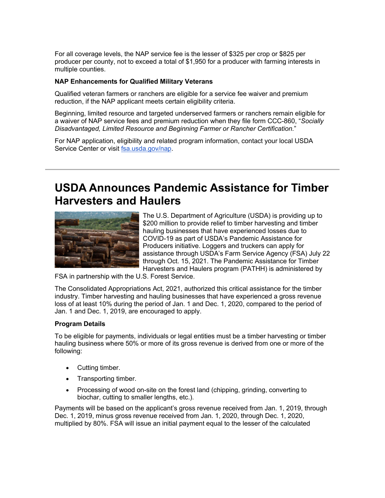For all coverage levels, the NAP service fee is the lesser of \$325 per crop or \$825 per producer per county, not to exceed a total of \$1,950 for a producer with farming interests in multiple counties.

#### **NAP Enhancements for Qualified Military Veterans**

Qualified veteran farmers or ranchers are eligible for a service fee waiver and premium reduction, if the NAP applicant meets certain eligibility criteria.

Beginning, limited resource and targeted underserved farmers or ranchers remain eligible for a waiver of NAP service fees and premium reduction when they file form CCC-860, "*Socially Disadvantaged, Limited Resource and Beginning Farmer or Rancher Certification.*"

For NAP application, eligibility and related program information, contact your local USDA Service Center or visit [fsa.usda.gov/nap.](http://www.fsa.usda.gov/nap?utm_medium=email&utm_source=govdelivery)

# **USDA Announces Pandemic Assistance for Timber Harvesters and Haulers**



The U.S. Department of Agriculture (USDA) is providing up to \$200 million to provide relief to timber harvesting and timber hauling businesses that have experienced losses due to COVID-19 as part of USDA's Pandemic Assistance for Producers initiative. Loggers and truckers can apply for assistance through USDA's Farm Service Agency (FSA) July 22 through Oct. 15, 2021. The Pandemic Assistance for Timber Harvesters and Haulers program (PATHH) is administered by

FSA in partnership with the U.S. Forest Service.

The Consolidated Appropriations Act, 2021, authorized this critical assistance for the timber industry. Timber harvesting and hauling businesses that have experienced a gross revenue loss of at least 10% during the period of Jan. 1 and Dec. 1, 2020, compared to the period of Jan. 1 and Dec. 1, 2019, are encouraged to apply.

#### **Program Details**

To be eligible for payments, individuals or legal entities must be a timber harvesting or timber hauling business where 50% or more of its gross revenue is derived from one or more of the following:

- Cutting timber.
- Transporting timber.
- Processing of wood on-site on the forest land (chipping, grinding, converting to biochar, cutting to smaller lengths, etc.).

Payments will be based on the applicant's gross revenue received from Jan. 1, 2019, through Dec. 1, 2019, minus gross revenue received from Jan. 1, 2020, through Dec. 1, 2020, multiplied by 80%. FSA will issue an initial payment equal to the lesser of the calculated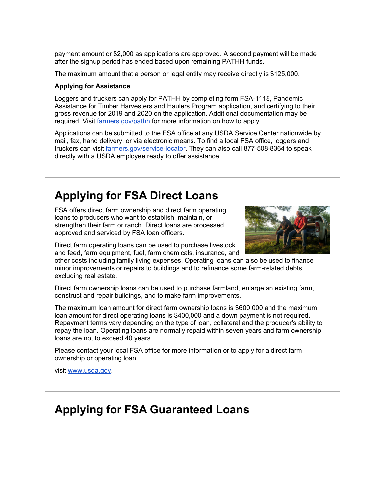payment amount or \$2,000 as applications are approved. A second payment will be made after the signup period has ended based upon remaining PATHH funds.

The maximum amount that a person or legal entity may receive directly is \$125,000.

#### **Applying for Assistance**

Loggers and truckers can apply for PATHH by completing form FSA-1118, Pandemic Assistance for Timber Harvesters and Haulers Program application, and certifying to their gross revenue for 2019 and 2020 on the application. Additional documentation may be required. Visit *[farmers.gov/pathh](http://www.farmers.gov/pathh?utm_medium=email&utm_source=govdelivery)* for more information on how to apply.

Applications can be submitted to the FSA office at any USDA Service Center nationwide by mail, fax, hand delivery, or via electronic means. To find a local FSA office, loggers and truckers can visit [farmers.gov/service-locator.](http://www.farmers.gov/service-locator?utm_medium=email&utm_source=govdelivery) They can also call 877-508-8364 to speak directly with a USDA employee ready to offer assistance.

# **Applying for FSA Direct Loans**

FSA offers direct farm ownership and direct farm operating loans to producers who want to establish, maintain, or strengthen their farm or ranch. Direct loans are processed, approved and serviced by FSA loan officers.



Direct farm operating loans can be used to purchase livestock and feed, farm equipment, fuel, farm chemicals, insurance, and

other costs including family living expenses. Operating loans can also be used to finance minor improvements or repairs to buildings and to refinance some farm-related debts, excluding real estate.

Direct farm ownership loans can be used to purchase farmland, enlarge an existing farm, construct and repair buildings, and to make farm improvements.

The maximum loan amount for direct farm ownership loans is \$600,000 and the maximum loan amount for direct operating loans is \$400,000 and a down payment is not required. Repayment terms vary depending on the type of loan, collateral and the producer's ability to repay the loan. Operating loans are normally repaid within seven years and farm ownership loans are not to exceed 40 years.

Please contact your local FSA office for more information or to apply for a direct farm ownership or operating loan.

visit [www.usda.gov.](https://www.usda.gov/?utm_medium=email&utm_source=govdelivery)

### **Applying for FSA Guaranteed Loans**